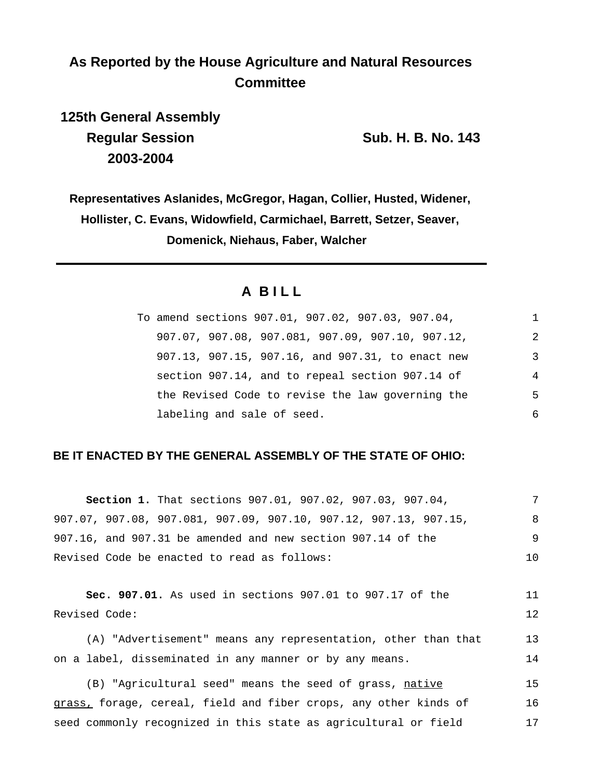# **As Reported by the House Agriculture and Natural Resources Committee**

**125th General Assembly Regular Session Sub. H. B. No. 143 2003-2004**

**Representatives Aslanides, McGregor, Hagan, Collier, Husted, Widener, Hollister, C. Evans, Widowfield, Carmichael, Barrett, Setzer, Seaver, Domenick, Niehaus, Faber, Walcher**

## **A B I L L**

| To amend sections 907.01, 907.02, 907.03, 907.04,  | 1              |
|----------------------------------------------------|----------------|
| $907.07, 907.08, 907.081, 907.09, 907.10, 907.12,$ | 2              |
| 907.13, 907.15, 907.16, and 907.31, to enact new   | 3              |
| section 907.14, and to repeal section 907.14 of    | $\overline{4}$ |
| the Revised Code to revise the law governing the   | 5              |
| labeling and sale of seed.                         | 6              |

## **BE IT ENACTED BY THE GENERAL ASSEMBLY OF THE STATE OF OHIO:**

| <b>Section 1.</b> That sections 907.01, 907.02, 907.03, 907.04,  |     |
|------------------------------------------------------------------|-----|
| 907.07, 907.08, 907.081, 907.09, 907.10, 907.12, 907.13, 907.15, | 8   |
| 907.16, and 907.31 be amended and new section 907.14 of the      | -9  |
| Revised Code be enacted to read as follows:                      | 1 O |

**Sec. 907.01.** As used in sections 907.01 to 907.17 of the Revised Code: 11 12

(A) "Advertisement" means any representation, other than that on a label, disseminated in any manner or by any means. 13 14

(B) "Agricultural seed" means the seed of grass, native grass, forage, cereal, field and fiber crops, any other kinds of seed commonly recognized in this state as agricultural or field 15 16 17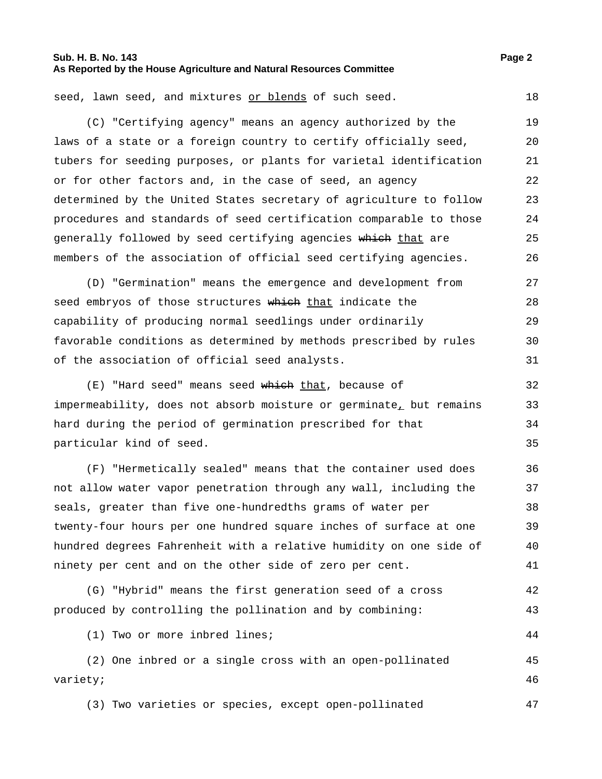#### **Sub. H. B. No. 143 Page 2 As Reported by the House Agriculture and Natural Resources Committee**

seed, lawn seed, and mixtures or blends of such seed. 18

(C) "Certifying agency" means an agency authorized by the laws of a state or a foreign country to certify officially seed, tubers for seeding purposes, or plants for varietal identification or for other factors and, in the case of seed, an agency determined by the United States secretary of agriculture to follow procedures and standards of seed certification comparable to those generally followed by seed certifying agencies which that are members of the association of official seed certifying agencies. 19 20 21 22 23 24 25 26

(D) "Germination" means the emergence and development from seed embryos of those structures which that indicate the capability of producing normal seedlings under ordinarily favorable conditions as determined by methods prescribed by rules of the association of official seed analysts. 27 28 29 30 31

(E) "Hard seed" means seed which that, because of impermeability, does not absorb moisture or germinate, but remains hard during the period of germination prescribed for that particular kind of seed. 32 33 34 35

(F) "Hermetically sealed" means that the container used does not allow water vapor penetration through any wall, including the seals, greater than five one-hundredths grams of water per twenty-four hours per one hundred square inches of surface at one hundred degrees Fahrenheit with a relative humidity on one side of ninety per cent and on the other side of zero per cent. 36 37 38 39 40 41

```
(G) "Hybrid" means the first generation seed of a cross
produced by controlling the pollination and by combining:
                                                                          42
                                                                          43
```
(1) Two or more inbred lines; 44

(2) One inbred or a single cross with an open-pollinated variety; 45 46

(3) Two varieties or species, except open-pollinated 47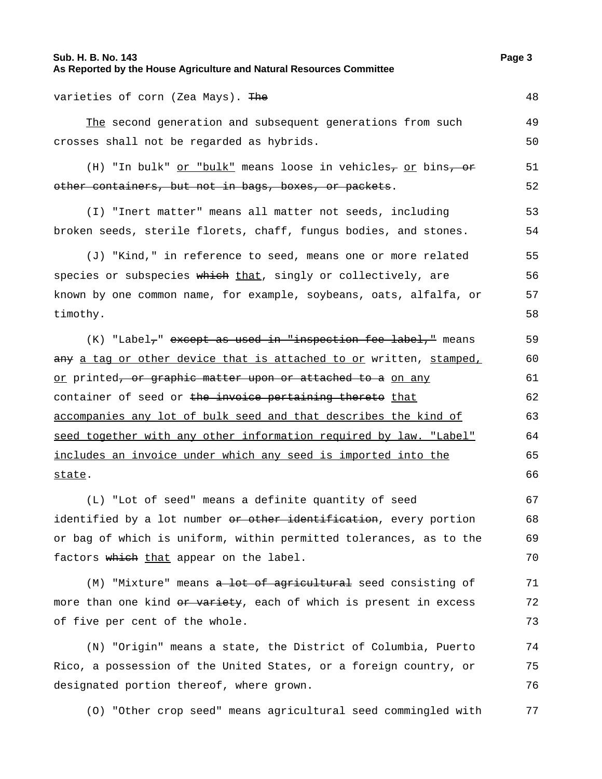| Sub. H. B. No. 143<br>As Reported by the House Agriculture and Natural Resources Committee  | Page 3 |
|---------------------------------------------------------------------------------------------|--------|
| varieties of corn (Zea Mays). The                                                           | 48     |
| The second generation and subsequent generations from such                                  | 49     |
| crosses shall not be regarded as hybrids.                                                   | 50     |
| (H) "In bulk" <u>or "bulk"</u> means loose in vehicles <sub>7</sub> or bins <del>, or</del> | 51     |
| other containers, but not in bags, boxes, or packets.                                       | 52     |
| (I) "Inert matter" means all matter not seeds, including                                    | 53     |
| broken seeds, sterile florets, chaff, fungus bodies, and stones.                            | 54     |
| (J) "Kind," in reference to seed, means one or more related                                 | 55     |
| species or subspecies which that, singly or collectively, are                               | 56     |
| known by one common name, for example, soybeans, oats, alfalfa, or                          | 57     |
| timothy.                                                                                    | 58     |
| (K) "Label <sub>7</sub> " except as used in "inspection fee label," means                   | 59     |
| <del>any</del> <u>a tag or other device that is attached to or</u> written, <u>stamped,</u> | 60     |
| <u>or</u> printed <del>, or graphic matter upon or attached to a</del> <u>on any</u>        | 61     |
| container of seed or the invoice pertaining thereto that                                    | 62     |
| accompanies any lot of bulk seed and that describes the kind of                             | 63     |
| seed together with any other information required by law. "Label"                           | 64     |
| <u>includes an invoice under which any seed is imported into the </u>                       | 65     |
| state.                                                                                      | 66     |
| (L) "Lot of seed" means a definite quantity of seed                                         | 67     |
| identified by a lot number <del>or other identification</del> , every portion               | 68     |
| or bag of which is uniform, within permitted tolerances, as to the                          | 69     |
| factors which that appear on the label.                                                     | 70     |
| (M) "Mixture" means a lot of agricultural seed consisting of                                | 71     |
| more than one kind <del>or variety</del> , each of which is present in excess               | 72     |
| of five per cent of the whole.                                                              | 73     |
| (N) "Origin" means a state, the District of Columbia, Puerto                                | 74     |
| Rico, a possession of the United States, or a foreign country, or                           | 75     |
| designated portion thereof, where grown.                                                    | 76     |
| (0) "Other crop seed" means agricultural seed commingled with                               | 77     |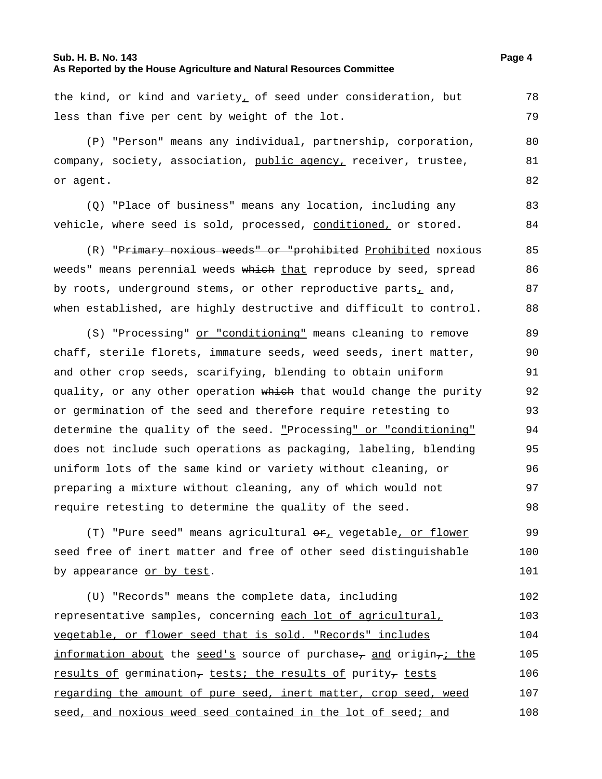#### **Sub. H. B. No. 143 Page 4 As Reported by the House Agriculture and Natural Resources Committee**

the kind, or kind and variety, of seed under consideration, but less than five per cent by weight of the lot. 78 79

(P) "Person" means any individual, partnership, corporation, company, society, association, public agency, receiver, trustee, or agent. 80 81 82

(Q) "Place of business" means any location, including any vehicle, where seed is sold, processed, conditioned, or stored.

(R) "Primary noxious weeds" or "prohibited Prohibited noxious weeds" means perennial weeds which that reproduce by seed, spread by roots, underground stems, or other reproductive parts, and, when established, are highly destructive and difficult to control. 85 86 87 88

(S) "Processing" or "conditioning" means cleaning to remove chaff, sterile florets, immature seeds, weed seeds, inert matter, and other crop seeds, scarifying, blending to obtain uniform quality, or any other operation which that would change the purity or germination of the seed and therefore require retesting to determine the quality of the seed. "Processing" or "conditioning" does not include such operations as packaging, labeling, blending uniform lots of the same kind or variety without cleaning, or preparing a mixture without cleaning, any of which would not require retesting to determine the quality of the seed. 89 90 91 92 93 94 95 96 97 98

(T) "Pure seed" means agricultural  $\Theta \mathbf{r}_L$  vegetable, or flower seed free of inert matter and free of other seed distinguishable by appearance or by test. 99 100 101

(U) "Records" means the complete data, including representative samples, concerning each lot of agricultural, vegetable, or flower seed that is sold. "Records" includes information about the seed's source of purchase, and origin,i the results of germination, tests; the results of purity, tests regarding the amount of pure seed, inert matter, crop seed, weed seed, and noxious weed seed contained in the lot of seed; and 102 103 104 105 106 107 108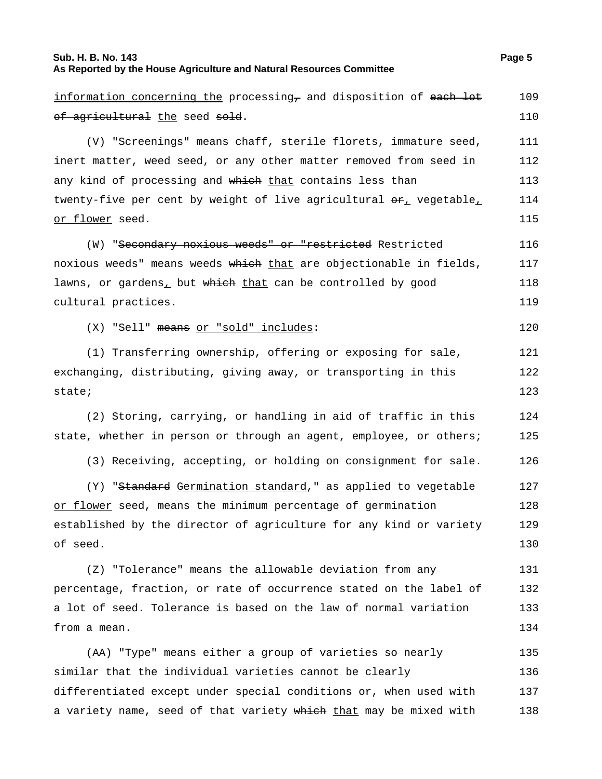#### **Sub. H. B. No. 143 Page 5 As Reported by the House Agriculture and Natural Resources Committee**

information concerning the processing, and disposition of each lot of agricultural the seed sold. 109 110 (V) "Screenings" means chaff, sterile florets, immature seed, inert matter, weed seed, or any other matter removed from seed in any kind of processing and which that contains less than twenty-five per cent by weight of live agricultural  $\Theta_{\pm}$  vegetable, or flower seed. 111 112 113 114 115 (W) "Secondary noxious weeds" or "restricted Restricted noxious weeds" means weeds which that are objectionable in fields, lawns, or gardens, but which that can be controlled by good cultural practices. 116 117 118 119 (X) "Sell" means or "sold" includes: 120 (1) Transferring ownership, offering or exposing for sale, exchanging, distributing, giving away, or transporting in this state; 121 122 123 (2) Storing, carrying, or handling in aid of traffic in this state, whether in person or through an agent, employee, or others; 124 125 (3) Receiving, accepting, or holding on consignment for sale. 126 (Y) "Standard Germination standard," as applied to vegetable or flower seed, means the minimum percentage of germination established by the director of agriculture for any kind or variety of seed. 127 128 129 130 (Z) "Tolerance" means the allowable deviation from any percentage, fraction, or rate of occurrence stated on the label of a lot of seed. Tolerance is based on the law of normal variation from a mean. 131 132 133 134 (AA) "Type" means either a group of varieties so nearly similar that the individual varieties cannot be clearly differentiated except under special conditions or, when used with a variety name, seed of that variety which that may be mixed with 135 136 137 138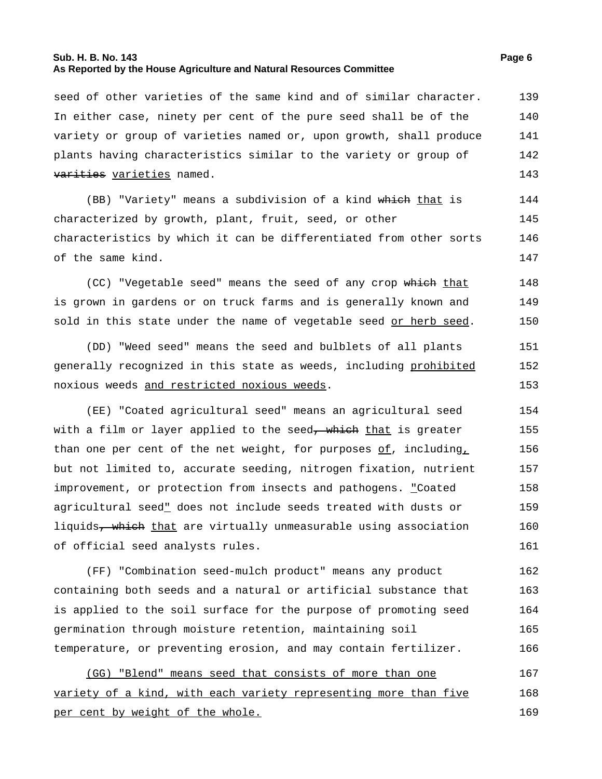#### **Sub. H. B. No. 143 Page 6 As Reported by the House Agriculture and Natural Resources Committee**

seed of other varieties of the same kind and of similar character. In either case, ninety per cent of the pure seed shall be of the variety or group of varieties named or, upon growth, shall produce plants having characteristics similar to the variety or group of varities varieties named. 139 140 141 142 143

(BB) "Variety" means a subdivision of a kind which that is characterized by growth, plant, fruit, seed, or other characteristics by which it can be differentiated from other sorts of the same kind. 144 145 146 147

(CC) "Vegetable seed" means the seed of any crop which that is grown in gardens or on truck farms and is generally known and sold in this state under the name of vegetable seed or herb seed. 148 149 150

(DD) "Weed seed" means the seed and bulblets of all plants generally recognized in this state as weeds, including prohibited noxious weeds and restricted noxious weeds. 151 152 153

(EE) "Coated agricultural seed" means an agricultural seed with a film or layer applied to the seed<del>, which</del> that is greater than one per cent of the net weight, for purposes  $of$ , including, but not limited to, accurate seeding, nitrogen fixation, nutrient improvement, or protection from insects and pathogens. "Coated agricultural seed" does not include seeds treated with dusts or liquids<del>, which</del> that are virtually unmeasurable using association of official seed analysts rules. 154 155 156 157 158 159 160 161

(FF) "Combination seed-mulch product" means any product containing both seeds and a natural or artificial substance that is applied to the soil surface for the purpose of promoting seed germination through moisture retention, maintaining soil temperature, or preventing erosion, and may contain fertilizer. 162 163 164 165 166

(GG) "Blend" means seed that consists of more than one variety of a kind, with each variety representing more than five per cent by weight of the whole. 167 168 169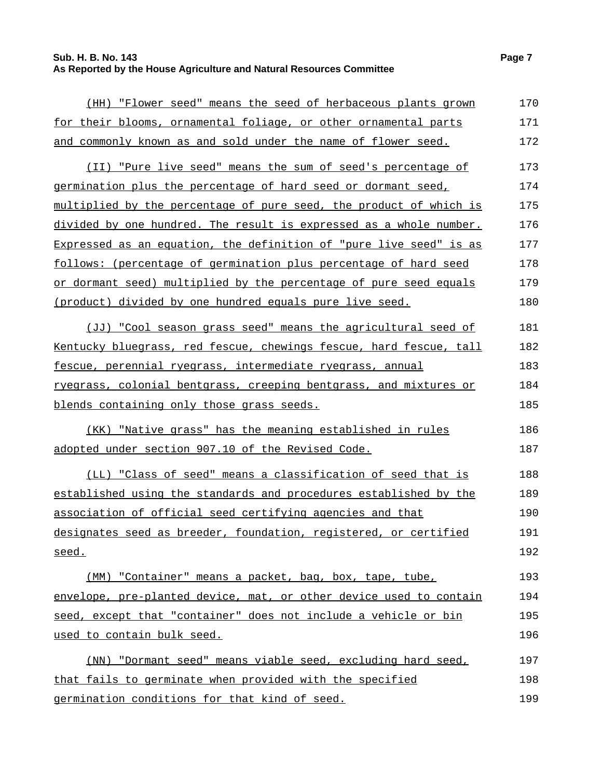## **Sub. H. B. No. 143 Page 7 As Reported by the House Agriculture and Natural Resources Committee**

| (HH) "Flower seed" means the seed of herbaceous plants grown              | 170 |
|---------------------------------------------------------------------------|-----|
| for their blooms, ornamental foliage, or other ornamental parts           | 171 |
| and commonly known as and sold under the name of flower seed.             | 172 |
| (II) "Pure live seed" means the sum of seed's percentage of               | 173 |
| germination plus the percentage of hard seed or dormant seed,             | 174 |
| multiplied by the percentage of pure seed, the product of which is        | 175 |
| <u>divided by one hundred. The result is expressed as a whole number.</u> | 176 |
| Expressed as an equation, the definition of "pure live seed" is as        | 177 |
| follows: (percentage of germination plus percentage of hard seed          | 178 |
| or dormant seed) multiplied by the percentage of pure seed equals         | 179 |
| (product) divided by one hundred equals pure live seed.                   | 180 |
| (JJ) "Cool season grass seed" means the agricultural seed of              | 181 |
| Kentucky bluegrass, red fescue, chewings fescue, hard fescue, tall        | 182 |
| fescue, perennial ryegrass, intermediate ryegrass, annual                 | 183 |
| <u>ryegrass, colonial bentgrass, creeping bentgrass, and mixtures or</u>  | 184 |
| blends containing only those grass seeds.                                 | 185 |
| (KK) "Native grass" has the meaning established in rules                  | 186 |
| adopted under section 907.10 of the Revised Code.                         | 187 |
| (LL) "Class of seed" means a classification of seed that is               | 188 |
| established using the standards and procedures established by the         | 189 |
| association of official seed certifying agencies and that                 | 190 |
| designates seed as breeder, foundation, registered, or certified          | 191 |
| seed.                                                                     | 192 |
| (MM) "Container" means a packet, bag, box, tape, tube,                    | 193 |
| envelope, pre-planted device, mat, or other device used to contain        | 194 |
| seed, except that "container" does not include a vehicle or bin           | 195 |
| used to contain bulk seed.                                                | 196 |
| (NN) "Dormant seed" means viable seed, excluding hard seed,               | 197 |
| that fails to germinate when provided with the specified                  | 198 |
| germination conditions for that kind of seed.                             | 199 |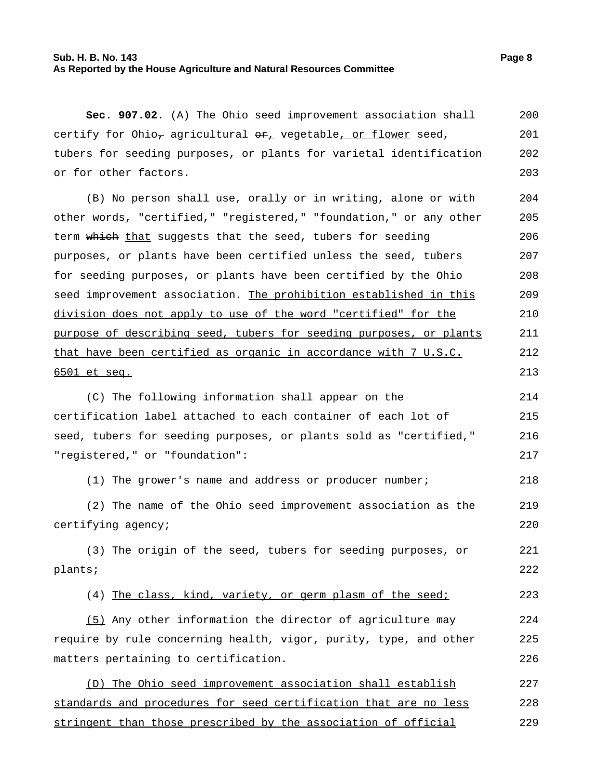#### **Sub. H. B. No. 143 Page 8 As Reported by the House Agriculture and Natural Resources Committee**

**Sec. 907.02.** (A) The Ohio seed improvement association shall certify for Ohio<sub>7</sub> agricultural  $er_{\perp}$  vegetable, or flower seed, tubers for seeding purposes, or plants for varietal identification or for other factors. 200 201 202 203

(B) No person shall use, orally or in writing, alone or with other words, "certified," "registered," "foundation," or any other term which that suggests that the seed, tubers for seeding purposes, or plants have been certified unless the seed, tubers for seeding purposes, or plants have been certified by the Ohio seed improvement association. The prohibition established in this division does not apply to use of the word "certified" for the purpose of describing seed, tubers for seeding purposes, or plants that have been certified as organic in accordance with 7 U.S.C. 6501 et seq. 204 205 206 207 208 209 210 211 212 213

(C) The following information shall appear on the certification label attached to each container of each lot of seed, tubers for seeding purposes, or plants sold as "certified," "registered," or "foundation": 214 215 216 217

(1) The grower's name and address or producer number; 218

(2) The name of the Ohio seed improvement association as the certifying agency; 219 220

(3) The origin of the seed, tubers for seeding purposes, or plants; 221 222

(4) The class, kind, variety, or germ plasm of the seed; 223

(5) Any other information the director of agriculture may require by rule concerning health, vigor, purity, type, and other matters pertaining to certification. 224 225 226

(D) The Ohio seed improvement association shall establish standards and procedures for seed certification that are no less stringent than those prescribed by the association of official 227 228 229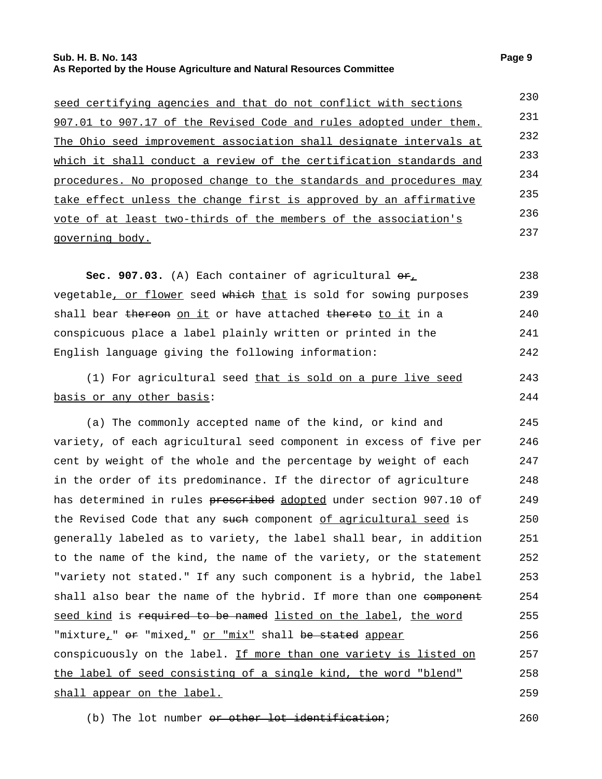#### **Sub. H. B. No. 143 Page 9 As Reported by the House Agriculture and Natural Resources Committee**

| seed certifying agencies and that do not conflict with sections    | 230 |
|--------------------------------------------------------------------|-----|
| 907.01 to 907.17 of the Revised Code and rules adopted under them. | 231 |
| The Ohio seed improvement association shall designate intervals at | 232 |
| which it shall conduct a review of the certification standards and | 233 |
| procedures. No proposed change to the standards and procedures may | 234 |
| take effect unless the change first is approved by an affirmative  | 235 |
| vote of at least two-thirds of the members of the association's    | 236 |
| governing body.                                                    | 237 |
|                                                                    |     |

Sec. 907.03. (A) Each container of agricultural  $\Theta_{L}$ vegetable, or flower seed which that is sold for sowing purposes shall bear thereon on it or have attached thereto to it in a conspicuous place a label plainly written or printed in the English language giving the following information: 238 239 240 241 242

(1) For agricultural seed that is sold on a pure live seed basis or any other basis: 243 244

(a) The commonly accepted name of the kind, or kind and variety, of each agricultural seed component in excess of five per cent by weight of the whole and the percentage by weight of each in the order of its predominance. If the director of agriculture has determined in rules prescribed adopted under section 907.10 of the Revised Code that any such component of agricultural seed is generally labeled as to variety, the label shall bear, in addition to the name of the kind, the name of the variety, or the statement "variety not stated." If any such component is a hybrid, the label shall also bear the name of the hybrid. If more than one component seed kind is required to be named listed on the label, the word "mixture,"  $e^e$  "mixed," or "mix" shall be stated appear conspicuously on the label. If more than one variety is listed on the label of seed consisting of a single kind, the word "blend" shall appear on the label. 245 246 247 248 249 250 251 252 253 254 255 256 257 258 259

(b) The lot number <del>or other lot identification</del>; 260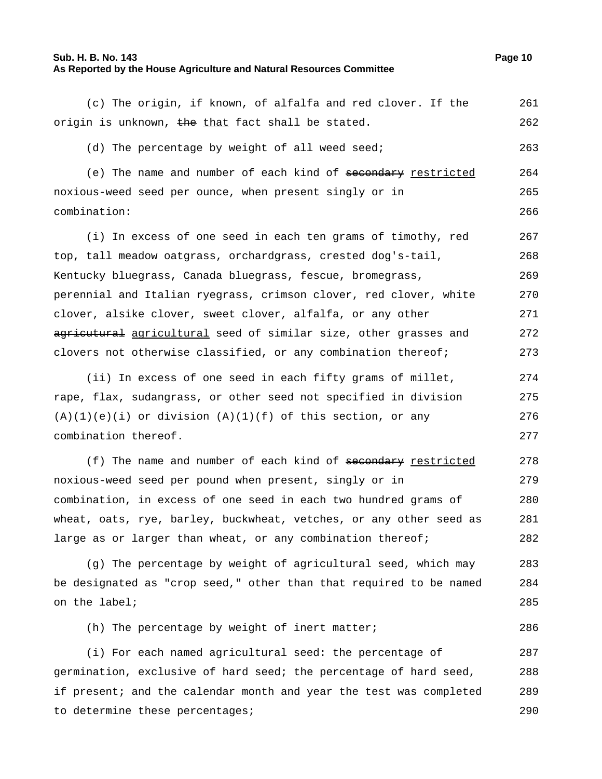#### **Sub. H. B. No. 143 Page 10 As Reported by the House Agriculture and Natural Resources Committee**

(c) The origin, if known, of alfalfa and red clover. If the origin is unknown, the that fact shall be stated. 261 262

(d) The percentage by weight of all weed seed; 263

(e) The name and number of each kind of secondary restricted noxious-weed seed per ounce, when present singly or in combination: 264 265 266

(i) In excess of one seed in each ten grams of timothy, red top, tall meadow oatgrass, orchardgrass, crested dog's-tail, Kentucky bluegrass, Canada bluegrass, fescue, bromegrass, perennial and Italian ryegrass, crimson clover, red clover, white clover, alsike clover, sweet clover, alfalfa, or any other agricutural agricultural seed of similar size, other grasses and clovers not otherwise classified, or any combination thereof; 267 268 269 270 271 272 273

(ii) In excess of one seed in each fifty grams of millet, rape, flax, sudangrass, or other seed not specified in division  $(A)(1)(e)(i)$  or division  $(A)(1)(f)$  of this section, or any combination thereof. 274 275 276 277

(f) The name and number of each kind of secondary restricted noxious-weed seed per pound when present, singly or in combination, in excess of one seed in each two hundred grams of wheat, oats, rye, barley, buckwheat, vetches, or any other seed as large as or larger than wheat, or any combination thereof; 278 279 280 281 282

(g) The percentage by weight of agricultural seed, which may be designated as "crop seed," other than that required to be named on the label; 283 284 285

(h) The percentage by weight of inert matter; 286

(i) For each named agricultural seed: the percentage of germination, exclusive of hard seed; the percentage of hard seed, if present; and the calendar month and year the test was completed to determine these percentages; 287 288 289 290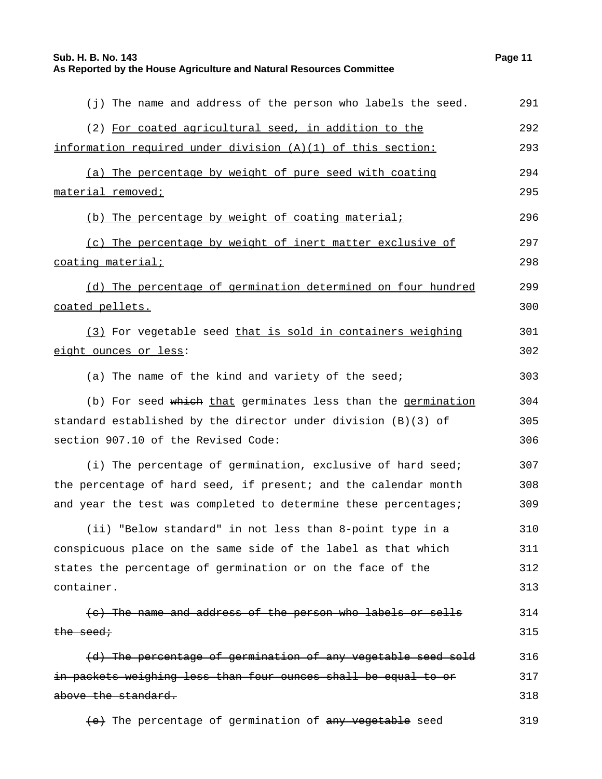**Sub. H. B. No. 143 Page 11**

#### **As Reported by the House Agriculture and Natural Resources Committee**

| (j) The name and address of the person who labels the seed.     | 291 |
|-----------------------------------------------------------------|-----|
| (2) For coated agricultural seed, in addition to the            | 292 |
| information required under division (A)(1) of this section:     | 293 |
| (a) The percentage by weight of pure seed with coating          | 294 |
| material removed;                                               | 295 |
| (b) The percentage by weight of coating material;               | 296 |
| (c) The percentage by weight of inert matter exclusive of       | 297 |
| <u>coating material;</u>                                        | 298 |
| (d) The percentage of germination determined on four hundred    | 299 |
| coated pellets.                                                 | 300 |
| (3) For vegetable seed that is sold in containers weighing      | 301 |
| eight ounces or less:                                           | 302 |
| (a) The name of the kind and variety of the seed;               | 303 |
| (b) For seed which that germinates less than the germination    | 304 |
| standard established by the director under division (B)(3) of   | 305 |
| section 907.10 of the Revised Code:                             | 306 |
| (i) The percentage of germination, exclusive of hard seed;      | 307 |
| the percentage of hard seed, if present; and the calendar month | 308 |
| and year the test was completed to determine these percentages; | 309 |
| (ii) "Below standard" in not less than 8-point type in a        | 310 |
| conspicuous place on the same side of the label as that which   | 311 |
| states the percentage of germination or on the face of the      | 312 |
| container.                                                      | 313 |
| (c) The name and address of the person who labels or sells      | 314 |
| $the - seed \cdot$                                              | 315 |
| (d) The percentage of germination of any vegetable seed sold    | 316 |
| in packets weighing less than four ounces shall be equal to or  | 317 |
| above the standard.                                             | 318 |
| (e) The percentage of germination of any vegetable seed         | 319 |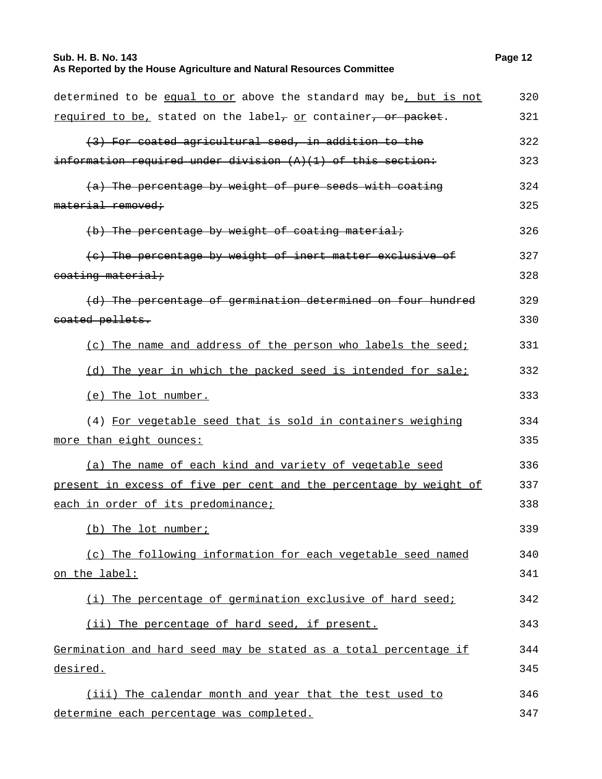## **Sub. H. B. No. 143 Page 12 As Reported by the House Agriculture and Natural Resources Committee**

| determined to be equal to or above the standard may be, but is not        | 320 |
|---------------------------------------------------------------------------|-----|
| required to be, stated on the label <sub>7</sub> or container, or packet. | 321 |
| (3) For coated agricultural seed, in addition to the                      | 322 |
| $information$ required under division $(A)(1)$ of this section:           | 323 |
| (a) The percentage by weight of pure seeds with coating                   | 324 |
| material removed;                                                         | 325 |
| (b) The percentage by weight of coating material;                         | 326 |
| (c) The percentage by weight of inert matter exclusive of                 | 327 |
| eoating material:                                                         | 328 |
| (d) The percentage of germination determined on four hundred              | 329 |
| eoated pellets.                                                           | 330 |
| (c) The name and address of the person who labels the seed;               | 331 |
| (d) The year in which the packed seed is intended for sale;               | 332 |
| (e) The lot number.                                                       | 333 |
| (4) For vegetable seed that is sold in containers weighing                | 334 |
| more than eight ounces:                                                   | 335 |
| (a) The name of each kind and variety of vegetable seed                   | 336 |
| present in excess of five per cent and the percentage by weight of        | 337 |
| each in order of its predominance;                                        | 338 |
| (b) The lot number;                                                       | 339 |
| (c) The following information for each vegetable seed named               | 340 |
| <u>on the label:</u>                                                      | 341 |
| (i) The percentage of germination exclusive of hard seed;                 | 342 |
| (ii) The percentage of hard seed, if present.                             | 343 |
| Germination and hard seed may be stated as a total percentage if          | 344 |
| desired.                                                                  | 345 |
| (iii) The calendar month and year that the test used to                   | 346 |
| determine each percentage was completed.                                  | 347 |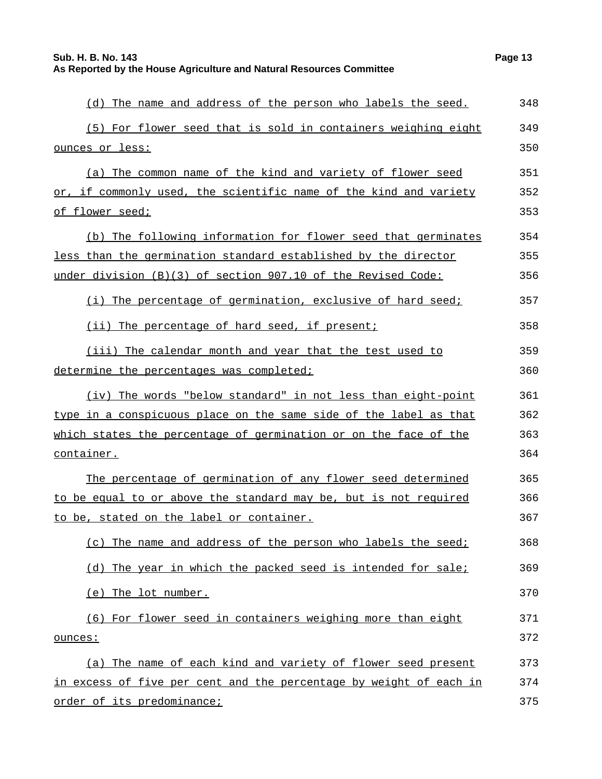| (d) The name and address of the person who labels the seed.        | 348 |
|--------------------------------------------------------------------|-----|
| (5) For flower seed that is sold in containers weighing eight      | 349 |
| ounces or less:                                                    | 350 |
| (a) The common name of the kind and variety of flower seed         | 351 |
| or, if commonly used, the scientific name of the kind and variety  | 352 |
| <u>of flower seed;</u>                                             | 353 |
| (b) The following information for flower seed that germinates      | 354 |
| less than the germination standard established by the director     | 355 |
| under division (B)(3) of section 907.10 of the Revised Code:       | 356 |
| (i) The percentage of germination, exclusive of hard seed;         | 357 |
| (ii) The percentage of hard seed, if present;                      | 358 |
| (iii) The calendar month and year that the test used to            | 359 |
| determine the percentages was completed;                           | 360 |
| (iv) The words "below standard" in not less than eight-point       | 361 |
| type in a conspicuous place on the same side of the label as that  | 362 |
| which states the percentage of germination or on the face of the   | 363 |
| container.                                                         | 364 |
| The percentage of germination of any flower seed determined        | 365 |
| to be equal to or above the standard may be, but is not required   | 366 |
| to be, stated on the label or container.                           | 367 |
| (c) The name and address of the person who labels the seed;        | 368 |
| (d) The year in which the packed seed is intended for sale;        | 369 |
| (e) The lot number.                                                | 370 |
| (6) For flower seed in containers weighing more than eight         | 371 |
| ounces:                                                            | 372 |
| (a) The name of each kind and variety of flower seed present       | 373 |
| in excess of five per cent and the percentage by weight of each in | 374 |
| order of its predominance;                                         | 375 |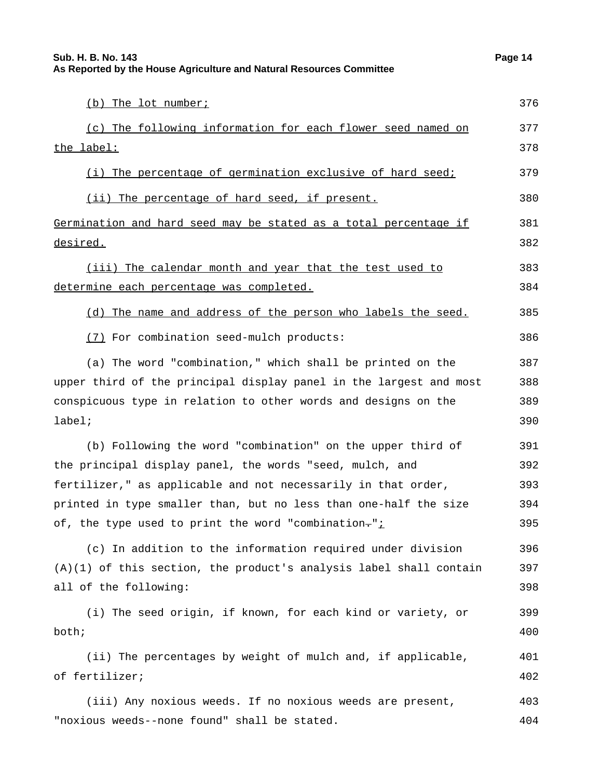| (b) The lot number;                                                     | 376 |
|-------------------------------------------------------------------------|-----|
| (c) The following information for each flower seed named on             | 377 |
| the label:                                                              | 378 |
| (i) The percentage of germination exclusive of hard seed;               | 379 |
| (ii) The percentage of hard seed, if present.                           | 380 |
| <u>Germination and hard seed may be stated as a total percentage if</u> | 381 |
| <u>desired.</u>                                                         | 382 |
| (iii) The calendar month and year that the test used to                 | 383 |
| determine each percentage was completed.                                | 384 |
| (d) The name and address of the person who labels the seed.             | 385 |
| (7) For combination seed-mulch products:                                | 386 |
| (a) The word "combination," which shall be printed on the               | 387 |
| upper third of the principal display panel in the largest and most      | 388 |
| conspicuous type in relation to other words and designs on the          | 389 |
| label;                                                                  | 390 |
| (b) Following the word "combination" on the upper third of              | 391 |
| the principal display panel, the words "seed, mulch, and                | 392 |
| fertilizer," as applicable and not necessarily in that order,           | 393 |
| printed in type smaller than, but no less than one-half the size        | 394 |
| of, the type used to print the word "combination-"i                     | 395 |
| (c) In addition to the information required under division              | 396 |
| $(A)(1)$ of this section, the product's analysis label shall contain    | 397 |
| all of the following:                                                   | 398 |
| (i) The seed origin, if known, for each kind or variety, or             | 399 |
| both;                                                                   | 400 |
| (ii) The percentages by weight of mulch and, if applicable,             | 401 |
| of fertilizer;                                                          | 402 |
|                                                                         |     |

(iii) Any noxious weeds. If no noxious weeds are present, "noxious weeds--none found" shall be stated. 403 404

377 378

381 382

383 384

391

396

397 398

399 400

401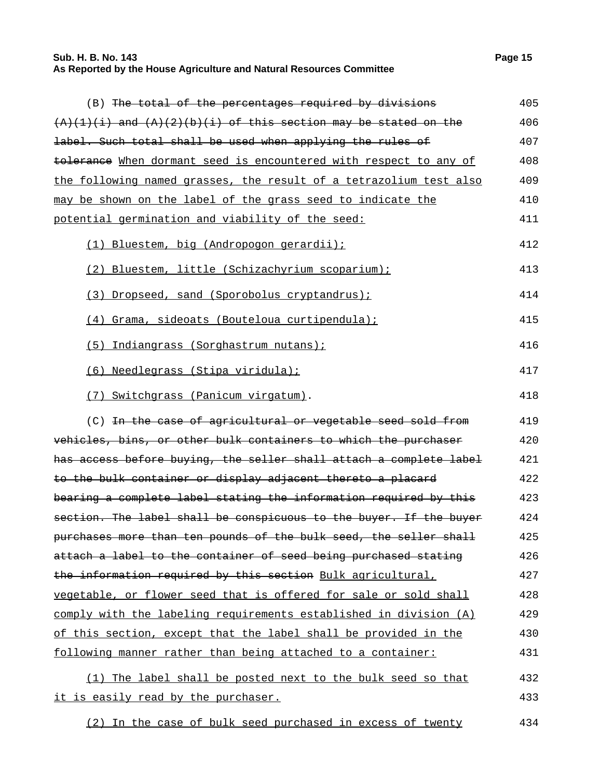## **Sub. H. B. No. 143 Page 15 As Reported by the House Agriculture and Natural Resources Committee**

| (B) The total of the percentages required by divisions              | 405 |
|---------------------------------------------------------------------|-----|
| $(A)(1)(i)$ and $(A)(2)(b)(i)$ of this section may be stated on the | 406 |
| label. Such total shall be used when applying the rules of          | 407 |
| tolerance When dormant seed is encountered with respect to any of   | 408 |
| the following named grasses, the result of a tetrazolium test also  | 409 |
| may be shown on the label of the grass seed to indicate the         | 410 |
| potential germination and viability of the seed:                    | 411 |
| (1) Bluestem, big (Andropogon gerardii);                            | 412 |
| (2) Bluestem, little (Schizachyrium scoparium);                     | 413 |
| (3) Dropseed, sand (Sporobolus cryptandrus);                        | 414 |
| (4) Grama, sideoats (Bouteloua curtipendula);                       | 415 |
| (5) Indiangrass (Sorghastrum nutans);                               | 416 |
| (6) Needlegrass (Stipa viridula);                                   | 417 |
| (7) Switchgrass (Panicum virgatum).                                 | 418 |
| (C) In the case of agricultural or vegetable seed sold from         | 419 |
| vehicles, bins, or other bulk containers to which the purchaser     | 420 |
| has access before buying, the seller shall attach a complete label  | 421 |
| to the bulk container or display adjacent thereto a placard         | 422 |
| bearing a complete label stating the information required by this   | 423 |
| section. The label shall be conspicuous to the buyer. If the buyer  | 424 |
| purchases more than ten pounds of the bulk seed, the seller shall   | 425 |
| attach a label to the container of seed being purchased stating     | 426 |
| the information required by this section Bulk agricultural,         | 427 |
| vegetable, or flower seed that is offered for sale or sold shall    | 428 |
| comply with the labeling requirements established in division (A)   | 429 |
| of this section, except that the label shall be provided in the     | 430 |
| following manner rather than being attached to a container:         | 431 |
| (1) The label shall be posted next to the bulk seed so that         | 432 |
| it is easily read by the purchaser.                                 | 433 |
| (2) In the case of bulk seed purchased in excess of twenty          | 434 |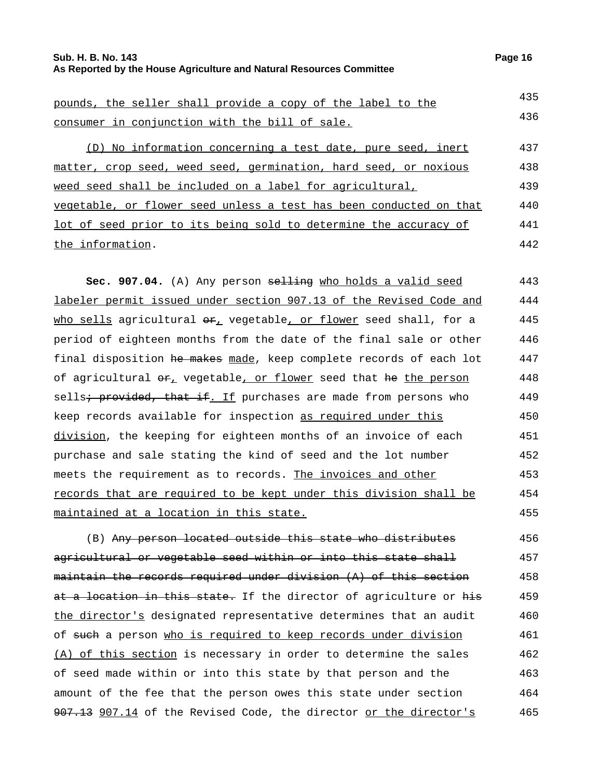#### **Sub. H. B. No. 143 Page 16 As Reported by the House Agriculture and Natural Resources Committee**

pounds, the seller shall provide a copy of the label to the consumer in conjunction with the bill of sale. 435 436 (D) No information concerning a test date, pure seed, inert matter, crop seed, weed seed, germination, hard seed, or noxious weed seed shall be included on a label for agricultural, vegetable, or flower seed unless a test has been conducted on that 437 438 439 440

lot of seed prior to its being sold to determine the accuracy of the information. 441 442

**Sec. 907.04.** (A) Any person selling who holds a valid seed labeler permit issued under section 907.13 of the Revised Code and who sells agricultural  $\Theta_{L}$  vegetable, or flower seed shall, for a period of eighteen months from the date of the final sale or other final disposition he makes made, keep complete records of each lot of agricultural  $er_{\perp}$  vegetable, or flower seed that he the person sells<del>; provided, that if</del>. If purchases are made from persons who keep records available for inspection as required under this division, the keeping for eighteen months of an invoice of each purchase and sale stating the kind of seed and the lot number meets the requirement as to records. The invoices and other records that are required to be kept under this division shall be maintained at a location in this state. 443 444 445 446 447 448 449 450 451 452 453 454 455

(B) Any person located outside this state who distributes agricultural or vegetable seed within or into this state shall maintain the records required under division (A) of this section at a location in this state. If the director of agriculture or his the director's designated representative determines that an audit of such a person who is required to keep records under division (A) of this section is necessary in order to determine the sales of seed made within or into this state by that person and the amount of the fee that the person owes this state under section 907.13 907.14 of the Revised Code, the director or the director's 456 457 458 459 460 461 462 463 464 465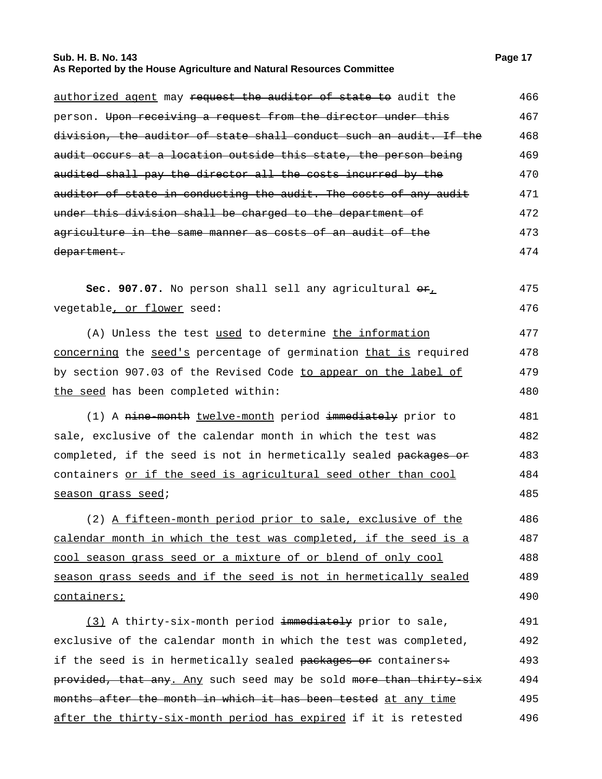#### **Sub. H. B. No. 143 Page 17 As Reported by the House Agriculture and Natural Resources Committee**

| authorized agent may request the auditor of state to audit the      | 466 |
|---------------------------------------------------------------------|-----|
| person. Upon receiving a request from the director under this       | 467 |
| division, the auditor of state shall conduct such an audit. If the  | 468 |
| audit occurs at a location outside this state, the person being     | 469 |
| audited shall pay the director all the costs incurred by the        | 470 |
| auditor of state in conducting the audit. The costs of any audit    | 471 |
| under this division shall be charged to the department of           | 472 |
| agriculture in the same manner as costs of an audit of the          | 473 |
| department.                                                         | 474 |
| Sec. 907.07. No person shall sell any agricultural $\Theta_{\perp}$ | 475 |
| vegetable, or flower seed:                                          | 476 |
| (A) Unless the test used to determine the information               | 477 |
| concerning the seed's percentage of germination that is required    | 478 |
| by section 907.03 of the Revised Code to appear on the label of     | 479 |
| the seed has been completed within:                                 | 480 |
| (1) A nine-month twelve-month period immediately prior to           | 481 |
| sale, exclusive of the calendar month in which the test was         | 482 |
| completed, if the seed is not in hermetically sealed packages or    | 483 |
| containers or if the seed is agricultural seed other than cool      | 484 |
| season grass seed;                                                  | 485 |
| (2) A fifteen-month period prior to sale, exclusive of the          | 486 |
| calendar month in which the test was completed, if the seed is a    | 487 |
| cool season grass seed or a mixture of or blend of only cool        | 488 |
| season grass seeds and if the seed is not in hermetically sealed    | 489 |
| containers;                                                         | 490 |
| (3) A thirty-six-month period immediately prior to sale,            | 491 |
| exclusive of the calendar month in which the test was completed,    | 492 |
| if the seed is in hermetically sealed packages or containers:       | 493 |
| provided, that any. Any such seed may be sold more than thirty-six  | 494 |
| months after the month in which it has been tested at any time      | 495 |
| after the thirty-six-month period has expired if it is retested     | 496 |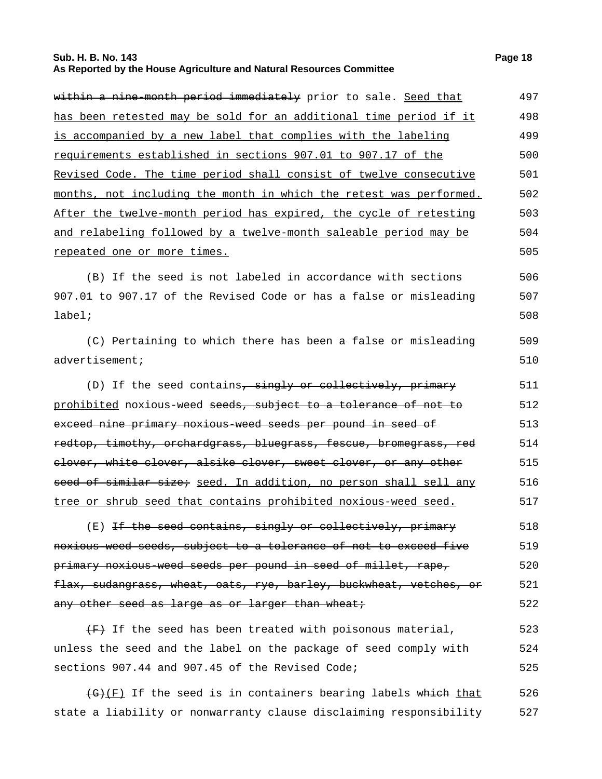#### **Sub. H. B. No. 143 Page 18 As Reported by the House Agriculture and Natural Resources Committee**

| within a nine-month period immediately prior to sale. Seed that      | 497 |
|----------------------------------------------------------------------|-----|
| has been retested may be sold for an additional time period if it    | 498 |
| is accompanied by a new label that complies with the labeling        | 499 |
| requirements established in sections 907.01 to 907.17 of the         | 500 |
| Revised Code. The time period shall consist of twelve consecutive    | 501 |
| months, not including the month in which the retest was performed.   | 502 |
| After the twelve-month period has expired, the cycle of retesting    | 503 |
| and relabeling followed by a twelve-month saleable period may be     | 504 |
| repeated one or more times.                                          | 505 |
| (B) If the seed is not labeled in accordance with sections           | 506 |
| 907.01 to 907.17 of the Revised Code or has a false or misleading    | 507 |
| $label:right:right}$                                                 | 508 |
| (C) Pertaining to which there has been a false or misleading         | 509 |
| advertisement;                                                       | 510 |
| (D) If the seed contains, singly or collectively, primary            | 511 |
| prohibited noxious-weed seeds, subject to a tolerance of not to      | 512 |
| exceed nine primary noxious-weed seeds per pound in seed of          | 513 |
| redtop, timothy, orchardgrass, bluegrass, fescue, bromegrass, red    | 514 |
| elover, white clover, alsike clover, sweet clover, or any other      | 515 |
| seed of similar size; seed. In addition, no person shall sell any    | 516 |
| tree or shrub seed that contains prohibited noxious-weed seed.       | 517 |
| (E) If the seed contains, singly or collectively, primary            | 518 |
| noxious weed seeds, subject to a tolerance of not to exceed five     | 519 |
| primary noxious weed seeds per pound in seed of millet, rape,        | 520 |
| flax, sudangrass, wheat, oats, rye, barley, buckwheat, vetches, or   | 521 |
| any other seed as large as or larger than wheat;                     | 522 |
| $\overline{f}$ If the seed has been treated with poisonous material, | 523 |
| unless the seed and the label on the package of seed comply with     | 524 |
| sections 907.44 and 907.45 of the Revised Code;                      | 525 |
|                                                                      |     |

 $\overline{(G)(F)}$  If the seed is in containers bearing labels which that state a liability or nonwarranty clause disclaiming responsibility 526 527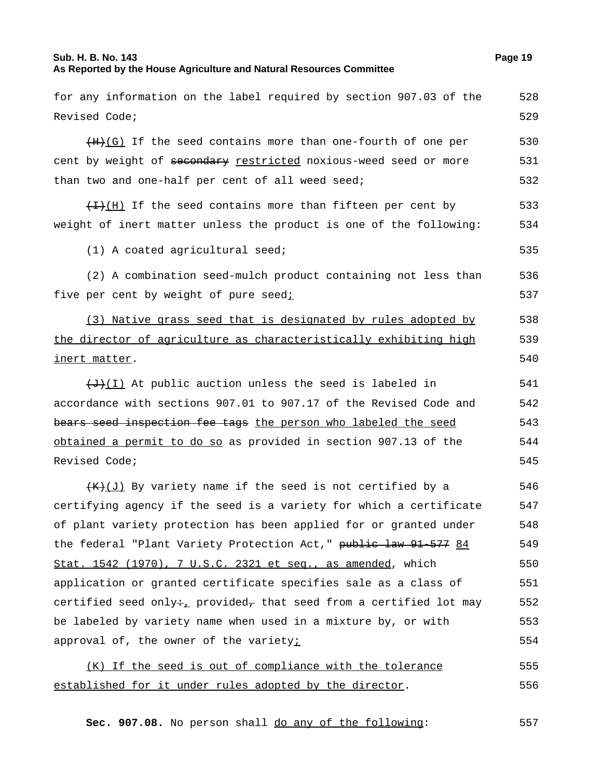#### **Sub. H. B. No. 143 Page 19 As Reported by the House Agriculture and Natural Resources Committee**

for any information on the label required by section 907.03 of the

```
Revised Code;
                                                                                  529
     (H+(G)) If the seed contains more than one-fourth of one per
cent by weight of secondary restricted noxious-weed seed or more
than two and one-half per cent of all weed seed;
                                                                                  530
                                                                                  531
                                                                                  532
     \overline{H}(H) If the seed contains more than fifteen per cent by
weight of inert matter unless the product is one of the following:
                                                                                  533
                                                                                  534
     (1) A coated agricultural seed; example to the set of the set of the set of the set of the set of the set of the set of the set of the set of the set of the set of the set of the set of the set of the set of the set of the
     (2) A combination seed-mulch product containing not less than
five per cent by weight of pure seedi536
                                                                                  537
     (3) Native grass seed that is designated by rules adopted by
the director of agriculture as characteristically exhibiting high
inert matter.
                                                                                  538
                                                                                  539
                                                                                  540
     (+)(I) At public auction unless the seed is labeled in
accordance with sections 907.01 to 907.17 of the Revised Code and
bears seed inspection fee tags the person who labeled the seed
obtained a permit to do so as provided in section 907.13 of the
Revised Code;
                                                                                  541
                                                                                  542
                                                                                  543
                                                                                  544
                                                                                  545
     (K+1) By variety name if the seed is not certified by a
certifying agency if the seed is a variety for which a certificate
of plant variety protection has been applied for or granted under
the federal "Plant Variety Protection Act," public law 91-577 84
Stat. 1542 (1970), 7 U.S.C. 2321 et seq., as amended, which
application or granted certificate specifies sale as a class of
certified seed only÷<sub><sub>L</sub></sub> provided<sub>7</sub> that seed from a certified lot may</sub>
be labeled by variety name when used in a mixture by, or with
approval of, the owner of the varietyi
                                                                                  546
                                                                                  547
                                                                                  548
                                                                                  549
                                                                                  550
                                                                                  551
                                                                                  552
                                                                                  553
                                                                                  554
     (K) If the seed is out of compliance with the tolerance
established for it under rules adopted by the director.
                                                                                  555
                                                                                  556
```
**Sec. 907.08.** No person shall <u>do any of the following</u>: 557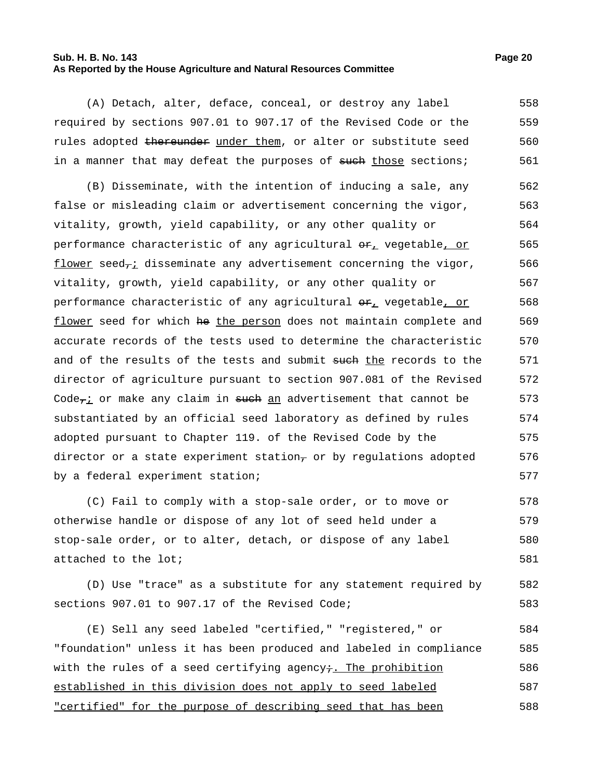#### **Sub. H. B. No. 143 Page 20 As Reported by the House Agriculture and Natural Resources Committee**

(A) Detach, alter, deface, conceal, or destroy any label required by sections 907.01 to 907.17 of the Revised Code or the rules adopted thereunder under them, or alter or substitute seed in a manner that may defeat the purposes of such those sections; 558 559 560 561

(B) Disseminate, with the intention of inducing a sale, any false or misleading claim or advertisement concerning the vigor, vitality, growth, yield capability, or any other quality or performance characteristic of any agricultural  $\Theta_{L}$  vegetable, or  $f$ lower seed<sub>7</sub>; disseminate any advertisement concerning the vigor, vitality, growth, yield capability, or any other quality or performance characteristic of any agricultural  $\Theta_{L}$  vegetable, or flower seed for which he the person does not maintain complete and accurate records of the tests used to determine the characteristic and of the results of the tests and submit such the records to the director of agriculture pursuant to section 907.081 of the Revised Code $\tau$  or make any claim in such an advertisement that cannot be substantiated by an official seed laboratory as defined by rules adopted pursuant to Chapter 119. of the Revised Code by the director or a state experiment station $_7$  or by regulations adopted by a federal experiment station; 562 563 564 565 566 567 568 569 570 571 572 573 574 575 576 577

(C) Fail to comply with a stop-sale order, or to move or otherwise handle or dispose of any lot of seed held under a stop-sale order, or to alter, detach, or dispose of any label attached to the lot; 578 579 580 581

(D) Use "trace" as a substitute for any statement required by sections 907.01 to 907.17 of the Revised Code; 582 583

(E) Sell any seed labeled "certified," "registered," or "foundation" unless it has been produced and labeled in compliance with the rules of a seed certifying agency $\dot{\tau}$ . The prohibition established in this division does not apply to seed labeled "certified" for the purpose of describing seed that has been 584 585 586 587 588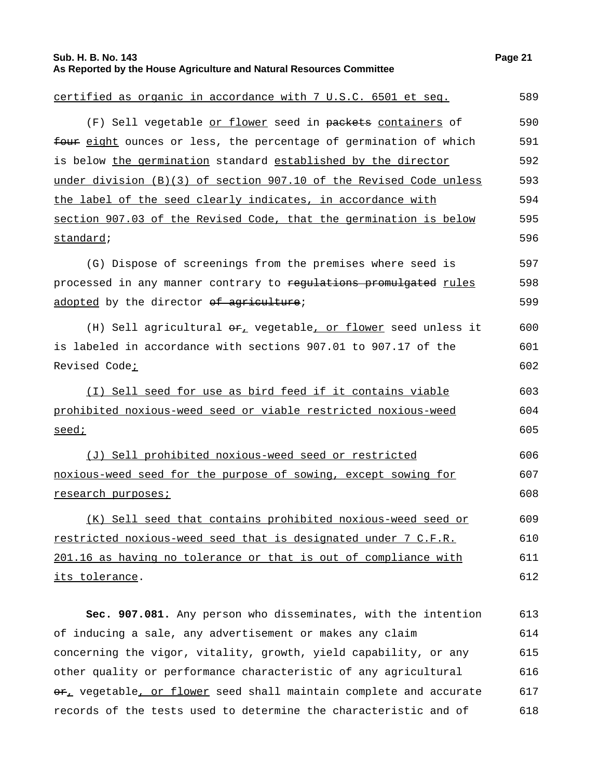| Sub. H. B. No. 143<br>As Reported by the House Agriculture and Natural Resources Committee | Page 21 |
|--------------------------------------------------------------------------------------------|---------|
| certified as organic in accordance with 7 U.S.C. 6501 et seg.                              | 589     |
| (F) Sell vegetable or flower seed in packets containers of                                 | 590     |
| four eight ounces or less, the percentage of germination of which                          | 591     |
| is below the germination standard established by the director                              | 592     |
| under division (B)(3) of section 907.10 of the Revised Code unless                         | 593     |
| the label of the seed clearly indicates, in accordance with                                | 594     |
| section 907.03 of the Revised Code, that the germination is below                          | 595     |
| standard;                                                                                  | 596     |
| (G) Dispose of screenings from the premises where seed is                                  | 597     |
| processed in any manner contrary to regulations promulgated rules                          | 598     |
| adopted by the director of agriculture;                                                    | 599     |
| (H) Sell agricultural $\Theta_{\mathcal{F}_L}$ vegetable, or flower seed unless it         | 600     |
| is labeled in accordance with sections 907.01 to 907.17 of the                             | 601     |
| Revised Code <sub>i</sub>                                                                  | 602     |
| (I) Sell seed for use as bird feed if it contains viable                                   | 603     |
| prohibited noxious-weed seed or viable restricted noxious-weed                             | 604     |
| seed;                                                                                      | 605     |
| (J) Sell prohibited noxious-weed seed or restricted                                        | 606     |
| noxious-weed seed for the purpose of sowing, except sowing for                             | 607     |
| research purposes;                                                                         | 608     |
| (K) Sell seed that contains prohibited noxious-weed seed or                                | 609     |
| restricted noxious-weed seed that is designated under 7 C.F.R.                             | 610     |
| 201.16 as having no tolerance or that is out of compliance with                            | 611     |
| its tolerance.                                                                             | 612     |

**Sec. 907.081.** Any person who disseminates, with the intention of inducing a sale, any advertisement or makes any claim concerning the vigor, vitality, growth, yield capability, or any other quality or performance characteristic of any agricultural or, vegetable, or flower seed shall maintain complete and accurate records of the tests used to determine the characteristic and of 613 614 615 616 617 618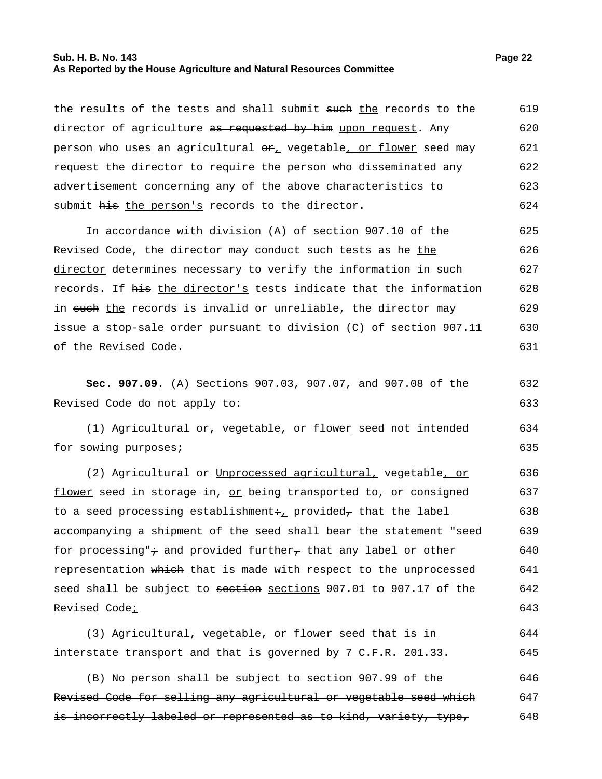#### **Sub. H. B. No. 143 Page 22 As Reported by the House Agriculture and Natural Resources Committee**

the results of the tests and shall submit sueh the records to the director of agriculture as requested by him upon request. Any person who uses an agricultural  $er_+$  vegetable, or flower seed may request the director to require the person who disseminated any advertisement concerning any of the above characteristics to submit his the person's records to the director. 619 620 621 622 623 624

In accordance with division (A) of section 907.10 of the Revised Code, the director may conduct such tests as he the director determines necessary to verify the information in such records. If his the director's tests indicate that the information in such the records is invalid or unreliable, the director may issue a stop-sale order pursuant to division (C) of section 907.11 of the Revised Code. 625 626 627 628 629 630 631

**Sec. 907.09.** (A) Sections 907.03, 907.07, and 907.08 of the Revised Code do not apply to: 632 633

(1) Agricultural  $er_{\perp}$  vegetable, or flower seed not intended for sowing purposes; 634 635

(2) Agricultural or Unprocessed agricultural, vegetable, or flower seed in storage  $\frac{1}{2}$  or being transported to, or consigned to a seed processing establishment: provided, that the label accompanying a shipment of the seed shall bear the statement "seed for processing" $\div$  and provided further, that any label or other representation which that is made with respect to the unprocessed seed shall be subject to section sections 907.01 to 907.17 of the Revised Code<sub>i</sub> 636 637 638 639 640 641 642 643

| (3) Agricultural, vegetable, or flower seed that is in        |  |  |  |  | 644 |
|---------------------------------------------------------------|--|--|--|--|-----|
|                                                               |  |  |  |  |     |
| interstate transport and that is governed by 7 C.F.R. 201.33. |  |  |  |  | 645 |

(B) No person shall be subject to section 907.99 of the Revised Code for selling any agricultural or vegetable seed which is incorrectly labeled or represented as to kind, variety, type, 646 647 648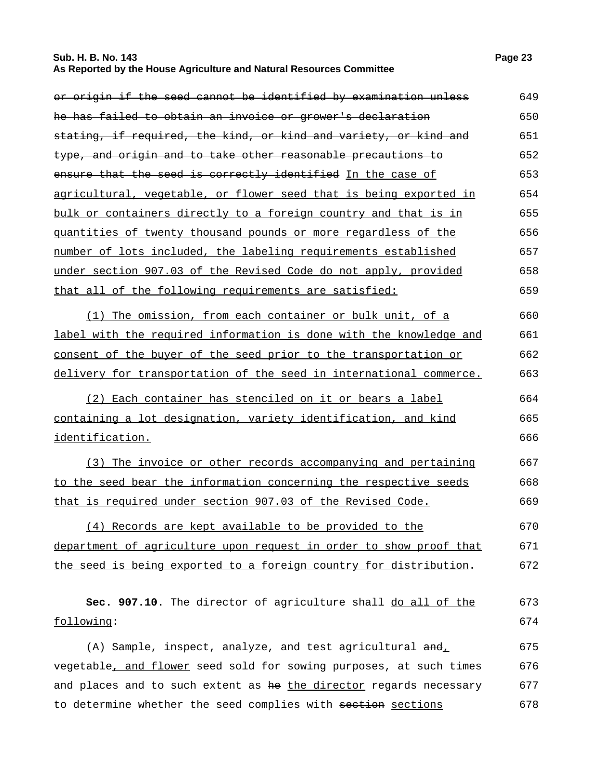#### **Sub. H. B. No. 143 Page 23 As Reported by the House Agriculture and Natural Resources Committee**

| or origin if the seed cannot be identified by examination unless      | 649 |
|-----------------------------------------------------------------------|-----|
| he has failed to obtain an invoice or grower's declaration            | 650 |
| stating, if required, the kind, or kind and variety, or kind and      | 651 |
| type, and origin and to take other reasonable precautions to          | 652 |
| ensure that the seed is correctly identified In the case of           | 653 |
| agricultural, vegetable, or flower seed that is being exported in     | 654 |
| bulk or containers directly to a foreign country and that is in       | 655 |
| <u>quantities of twenty thousand pounds or more regardless of the</u> | 656 |
| number of lots included, the labeling requirements established        | 657 |
| under section 907.03 of the Revised Code do not apply, provided       | 658 |
| that all of the following requirements are satisfied:                 | 659 |
| (1) The omission, from each container or bulk unit, of a              | 660 |
| label with the required information is done with the knowledge and    | 661 |
| consent of the buyer of the seed prior to the transportation or       | 662 |
| delivery for transportation of the seed in international commerce.    | 663 |
| (2) Each container has stenciled on it or bears a label               | 664 |
| containing a lot designation, variety identification, and kind        | 665 |
| identification.                                                       | 666 |
| (3) The invoice or other records accompanying and pertaining          | 667 |
| to the seed bear the information concerning the respective seeds      | 668 |
| that is required under section 907.03 of the Revised Code.            | 669 |
| (4) Records are kept available to be provided to the                  | 670 |
| department of agriculture upon request in order to show proof that    | 671 |
| the seed is being exported to a foreign country for distribution.     | 672 |
| sec. 907.10. The director of agriculture shall do all of the          | 673 |
| following:                                                            | 674 |
| (A) Sample, inspect, analyze, and test agricultural and,              | 675 |
| vegetable, and flower seed sold for sowing purposes, at such times    | 676 |
| and places and to such extent as he the director regards necessary    | 677 |
| to determine whether the seed complies with section sections          | 678 |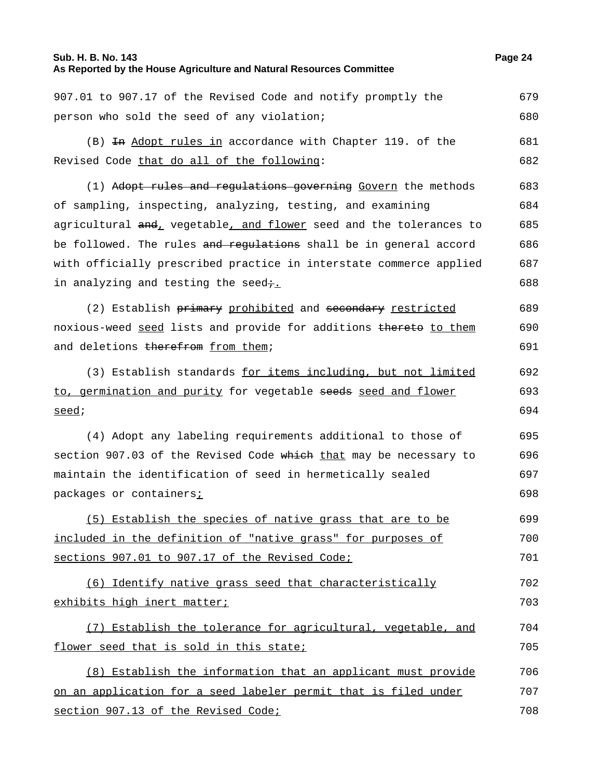#### **Sub. H. B. No. 143 Page 24**

### **As Reported by the House Agriculture and Natural Resources Committee**

907.01 to 907.17 of the Revised Code and notify promptly the person who sold the seed of any violation; 679 680 (B) In Adopt rules in accordance with Chapter 119. of the Revised Code that do all of the following: 681 682 (1) Adopt rules and regulations governing Govern the methods of sampling, inspecting, analyzing, testing, and examining agricultural and, vegetable, and flower seed and the tolerances to be followed. The rules and requiations shall be in general accord with officially prescribed practice in interstate commerce applied in analyzing and testing the seed $\div$ . 683 684 685 686 687 688 (2) Establish primary prohibited and secondary restricted noxious-weed seed lists and provide for additions thereto to them and deletions therefrom from them; 689 690 691 (3) Establish standards for items including, but not limited to, germination and purity for vegetable seeds seed and flower seed; 692 693 694 (4) Adopt any labeling requirements additional to those of section 907.03 of the Revised Code which that may be necessary to maintain the identification of seed in hermetically sealed packages or containers; 695 696 697 698 (5) Establish the species of native grass that are to be included in the definition of "native grass" for purposes of sections 907.01 to 907.17 of the Revised Code; 699 700 701 (6) Identify native grass seed that characteristically exhibits high inert matter; 702 703 (7) Establish the tolerance for agricultural, vegetable, and flower seed that is sold in this state; 704 705 (8) Establish the information that an applicant must provide on an application for a seed labeler permit that is filed under section 907.13 of the Revised Code; 706 707 708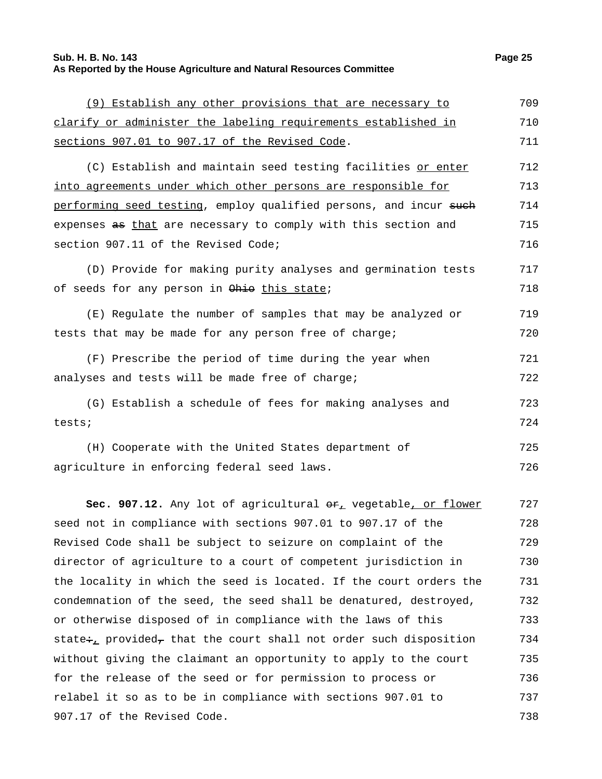## **Sub. H. B. No. 143 Page 25 As Reported by the House Agriculture and Natural Resources Committee**

(9) Establish any other provisions that are necessary to

| clarify or administer the labeling requirements established in         | 710 |
|------------------------------------------------------------------------|-----|
| sections 907.01 to 907.17 of the Revised Code.                         | 711 |
| (C) Establish and maintain seed testing facilities or enter            | 712 |
| into agreements under which other persons are responsible for          | 713 |
| performing seed testing, employ qualified persons, and incur such      | 714 |
| expenses as that are necessary to comply with this section and         | 715 |
| section 907.11 of the Revised Code;                                    | 716 |
| (D) Provide for making purity analyses and germination tests           | 717 |
| of seeds for any person in Ohio this state;                            | 718 |
| (E) Regulate the number of samples that may be analyzed or             | 719 |
| tests that may be made for any person free of charge;                  | 720 |
| (F) Prescribe the period of time during the year when                  | 721 |
| analyses and tests will be made free of charge;                        | 722 |
| (G) Establish a schedule of fees for making analyses and               | 723 |
| tests;                                                                 | 724 |
| (H) Cooperate with the United States department of                     | 725 |
| agriculture in enforcing federal seed laws.                            | 726 |
| Sec. 907.12. Any lot of agricultural $er_{\perp}$ vegetable, or flower | 727 |
| seed not in compliance with sections 907.01 to 907.17 of the           | 728 |
| Revised Code shall be subject to seizure on complaint of the           | 729 |
| director of agriculture to a court of competent jurisdiction in        | 730 |
| the locality in which the seed is located. If the court orders the     | 731 |
| condemnation of the seed, the seed shall be denatured, destroyed,      | 732 |
| or otherwise disposed of in compliance with the laws of this           | 733 |
| state: provided, that the court shall not order such disposition       | 734 |
| without giving the claimant an opportunity to apply to the court       | 735 |
| for the release of the seed or for permission to process or            | 736 |
| relabel it so as to be in compliance with sections 907.01 to           | 737 |
| 907.17 of the Revised Code.                                            | 738 |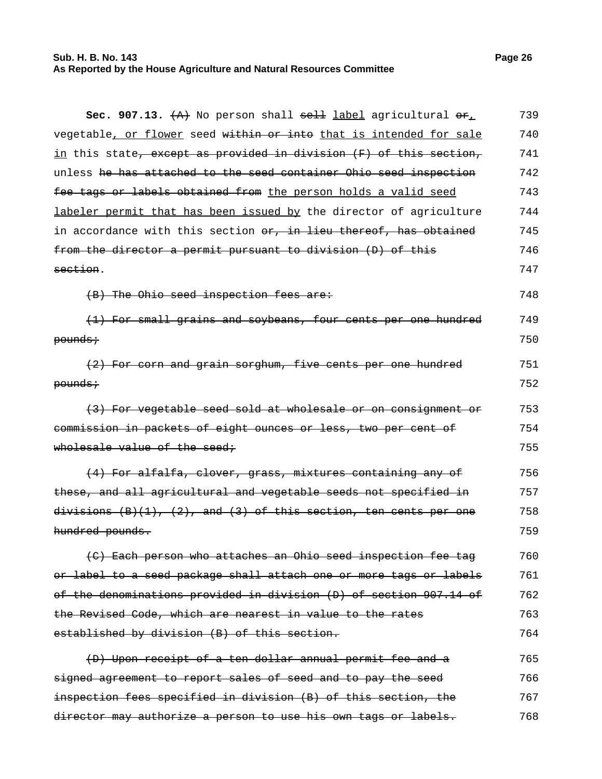#### **Sub. H. B. No. 143 Page 26 As Reported by the House Agriculture and Natural Resources Committee**

**Sec. 907.13.** (A) No person shall sell label agricultural or, vegetable, or flower seed within or into that is intended for sale in this state, except as provided in division (F) of this section, unless he has attached to the seed container Ohio seed inspection fee tags or labels obtained from the person holds a valid seed labeler permit that has been issued by the director of agriculture in accordance with this section or, in lieu thereof, has obtained from the director a permit pursuant to division (D) of this section. 739 740 741 742 743 744 745 746 747 (B) The Ohio seed inspection fees are: 748 (1) For small grains and soybeans, four cents per one hundred pounds; 749 750 (2) For corn and grain sorghum, five cents per one hundred pounds; 751 752 (3) For vegetable seed sold at wholesale or on consignment or commission in packets of eight ounces or less, two per cent of wholesale value of the seed; 753 754 755 (4) For alfalfa, clover, grass, mixtures containing any of these, and all agricultural and vegetable seeds not specified in  $divisions (B)(1), (2), and (3) of this section, ten cents per one$ hundred pounds. 756 757 758 759 (C) Each person who attaches an Ohio seed inspection fee tag or label to a seed package shall attach one or more tags or labels of the denominations provided in division (D) of section 907.14 of the Revised Code, which are nearest in value to the rates established by division (B) of this section. 760 761 762 763 764 (D) Upon receipt of a ten dollar annual permit fee and a signed agreement to report sales of seed and to pay the seed inspection fees specified in division (B) of this section, the director may authorize a person to use his own tags or labels. 765 766 767 768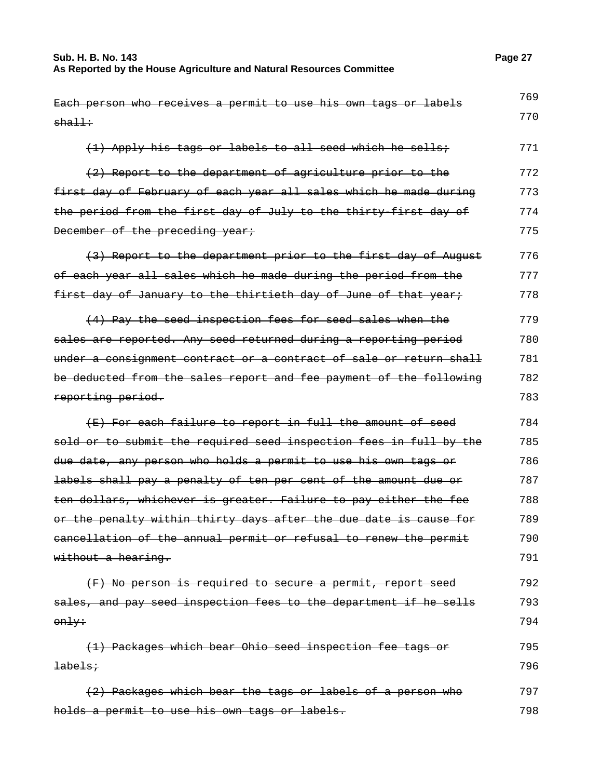| Each person who receives a permit to use his own tags or labels           | 769 |
|---------------------------------------------------------------------------|-----|
| $sha$ ll $\div$                                                           | 770 |
| (1) Apply his tags or labels to all seed which he sells;                  | 771 |
| (2) Report to the department of agriculture prior to the                  | 772 |
| first day of February of each year all sales which he made during         | 773 |
| the period from the first day of July to the thirty-first day of          | 774 |
| December of the preceding year;                                           | 775 |
| (3) Report to the department prior to the first day of August             | 776 |
| of each year all sales which he made during the period from the           | 777 |
| first day of January to the thirtieth day of June of that year;           | 778 |
| (4) Pay the seed inspection fees for seed sales when the                  | 779 |
| sales are reported. Any seed returned during a reporting period           | 780 |
| under a consignment contract or a contract of sale or return shall        | 781 |
| be deducted from the sales report and fee payment of the following        | 782 |
| reporting period.                                                         | 783 |
| (E) For each failure to report in full the amount of seed                 | 784 |
| sold or to submit the required seed inspection fees in full by the        | 785 |
| <del>due date, any person who holds a permit to use his own tags or</del> | 786 |
| labels shall pay a penalty of ten per cent of the amount due or           | 787 |
| ten dollars, whichever is greater. Failure to pay either the fee          | 788 |
| or the penalty within thirty days after the due date is cause for         | 789 |
| eancellation of the annual permit or refusal to renew the permit          | 790 |
| without a hearing.                                                        | 791 |
| (F) No person is required to secure a permit, report seed                 | 792 |
| sales, and pay seed inspection fees to the department if he sells         | 793 |
| only:                                                                     | 794 |
| (1) Packages which bear Ohio seed inspection fee tags or                  | 795 |
| <b>labels;</b>                                                            | 796 |
| (2) Packages which bear the tags or labels of a person who                | 797 |
| holds a permit to use his own tags or labels.                             | 798 |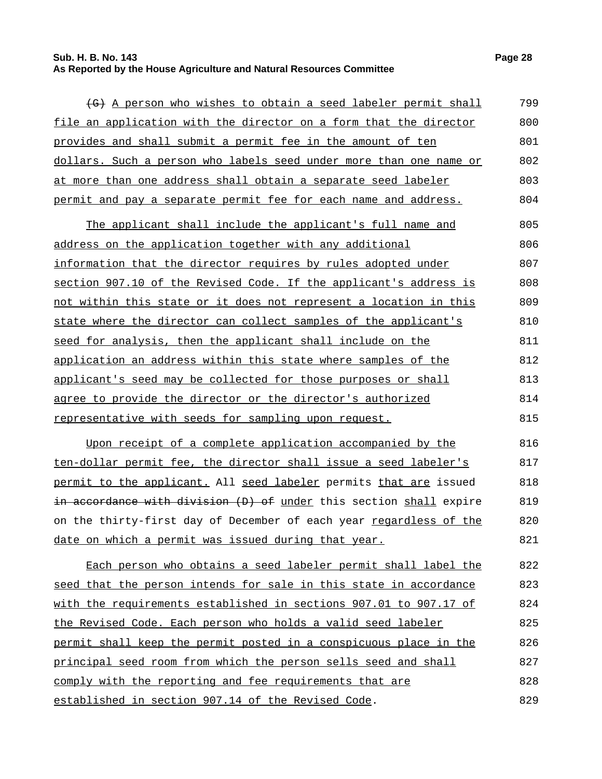#### **Sub. H. B. No. 143 Page 28 As Reported by the House Agriculture and Natural Resources Committee**

| (G) A person who wishes to obtain a seed labeler permit shall      | 799 |
|--------------------------------------------------------------------|-----|
| file an application with the director on a form that the director  | 800 |
| <u>provides and shall submit a permit fee in the amount of ten</u> | 801 |
| dollars. Such a person who labels seed under more than one name or | 802 |
| at more than one address shall obtain a separate seed labeler      | 803 |
| permit and pay a separate permit fee for each name and address.    | 804 |
| The applicant shall include the applicant's full name and          | 805 |
| address on the application together with any additional            | 806 |
| information that the director requires by rules adopted under      | 807 |
| section 907.10 of the Revised Code. If the applicant's address is  | 808 |
| not within this state or it does not represent a location in this  | 809 |
| state where the director can collect samples of the applicant's    | 810 |
| seed for analysis, then the applicant shall include on the         | 811 |
| application an address within this state where samples of the      | 812 |
| applicant's seed may be collected for those purposes or shall      | 813 |
| agree to provide the director or the director's authorized         | 814 |
| representative with seeds for sampling upon request.               | 815 |
| Upon receipt of a complete application accompanied by the          | 816 |

ten-dollar permit fee, the director shall issue a seed labeler's permit to the applicant. All seed labeler permits that are issued in accordance with division (D) of under this section shall expire on the thirty-first day of December of each year regardless of the date on which a permit was issued during that year. 817 818 819 820 821

Each person who obtains a seed labeler permit shall label the seed that the person intends for sale in this state in accordance with the requirements established in sections 907.01 to 907.17 of the Revised Code. Each person who holds a valid seed labeler permit shall keep the permit posted in a conspicuous place in the principal seed room from which the person sells seed and shall comply with the reporting and fee requirements that are established in section 907.14 of the Revised Code. 822 823 824 825 826 827 828 829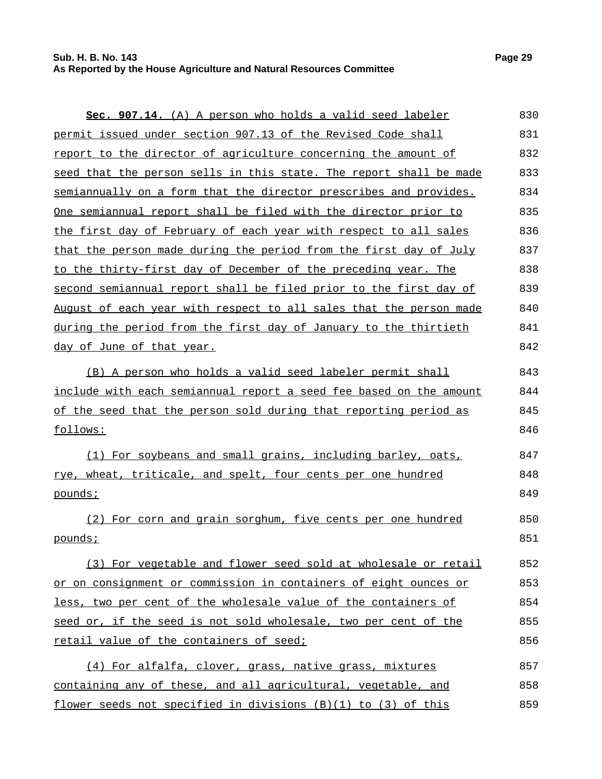| Sec. 907.14. (A) A person who holds a valid seed labeler           | 830 |
|--------------------------------------------------------------------|-----|
| permit issued under section 907.13 of the Revised Code shall       | 831 |
| report to the director of agriculture concerning the amount of     | 832 |
| seed that the person sells in this state. The report shall be made | 833 |
| semiannually on a form that the director prescribes and provides.  | 834 |
| One semiannual report shall be filed with the director prior to    | 835 |
| the first day of February of each year with respect to all sales   | 836 |
| that the person made during the period from the first day of July  | 837 |
| to the thirty-first day of December of the preceding year. The     | 838 |
| second semiannual report shall be filed prior to the first day of  | 839 |
| August of each year with respect to all sales that the person made | 840 |
| during the period from the first day of January to the thirtieth   | 841 |
| day of June of that year.                                          | 842 |
| (B) A person who holds a valid seed labeler permit shall           | 843 |
| include with each semiannual report a seed fee based on the amount | 844 |
| of the seed that the person sold during that reporting period as   | 845 |
| follows:                                                           | 846 |
| (1) For soybeans and small grains, including barley, oats,         | 847 |
| rye, wheat, triticale, and spelt, four cents per one hundred       | 848 |
| <u>pounds;</u>                                                     | 849 |
| (2) For corn and grain sorghum, five cents per one hundred         | 850 |
| pounds;                                                            | 851 |
| (3) For vegetable and flower seed sold at wholesale or retail      | 852 |
| or on consignment or commission in containers of eight ounces or   | 853 |
| less, two per cent of the wholesale value of the containers of     | 854 |
| seed or, if the seed is not sold wholesale, two per cent of the    | 855 |
| retail value of the containers of seed;                            | 856 |
| (4) For alfalfa, clover, grass, native grass, mixtures             | 857 |
| containing any of these, and all agricultural, vegetable, and      | 858 |
| flower seeds not specified in divisions (B)(1) to (3) of this      | 859 |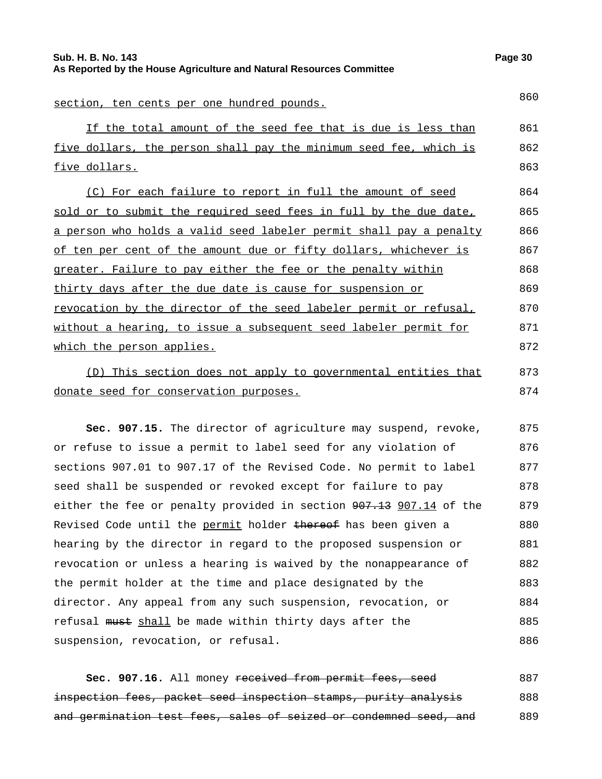| section, ten cents per one hundred pounds.                                                                                                                                                                                   | 860           |
|------------------------------------------------------------------------------------------------------------------------------------------------------------------------------------------------------------------------------|---------------|
| If the total amount of the seed fee that is due is less than                                                                                                                                                                 | 861           |
| five dollars, the person shall pay the minimum seed fee, which is                                                                                                                                                            | 862           |
| <u>five dollars.</u>                                                                                                                                                                                                         | 863           |
| (C) For each failure to report in full the amount of seed                                                                                                                                                                    | 864           |
| sold or to submit the required seed fees in full by the due date,                                                                                                                                                            | 865           |
| a person who holds a valid seed labeler permit shall pay a penalty                                                                                                                                                           | 866           |
| of ten per cent of the amount due or fifty dollars, whichever is                                                                                                                                                             | 867           |
| greater. Failure to pay either the fee or the penalty within                                                                                                                                                                 | 868           |
| thirty days after the due date is cause for suspension or                                                                                                                                                                    | 869           |
| revocation by the director of the seed labeler permit or refusal,                                                                                                                                                            | 870           |
| without a hearing, to issue a subsequent seed labeler permit for                                                                                                                                                             | 871           |
| <u>which the person applies.</u>                                                                                                                                                                                             | 872           |
| . The second contract of the contract of the contract of the contract of the contract of the contract of the contract of the contract of the contract of the contract of the contract of the contract of the contract of the | $\cap$ $\cap$ |

(D) This section does not apply to governmental entities that donate seed for conservation purposes. 873 874

**Sec. 907.15.** The director of agriculture may suspend, revoke, or refuse to issue a permit to label seed for any violation of sections 907.01 to 907.17 of the Revised Code. No permit to label seed shall be suspended or revoked except for failure to pay either the fee or penalty provided in section  $907.13$  907.14 of the Revised Code until the permit holder thereof has been given a hearing by the director in regard to the proposed suspension or revocation or unless a hearing is waived by the nonappearance of the permit holder at the time and place designated by the director. Any appeal from any such suspension, revocation, or refusal must shall be made within thirty days after the suspension, revocation, or refusal. 875 876 877 878 879 880 881 882 883 884 885 886

Sec. 907.16. All money received from permit fees, seed inspection fees, packet seed inspection stamps, purity analysis and germination test fees, sales of seized or condemned seed, and 887 888 889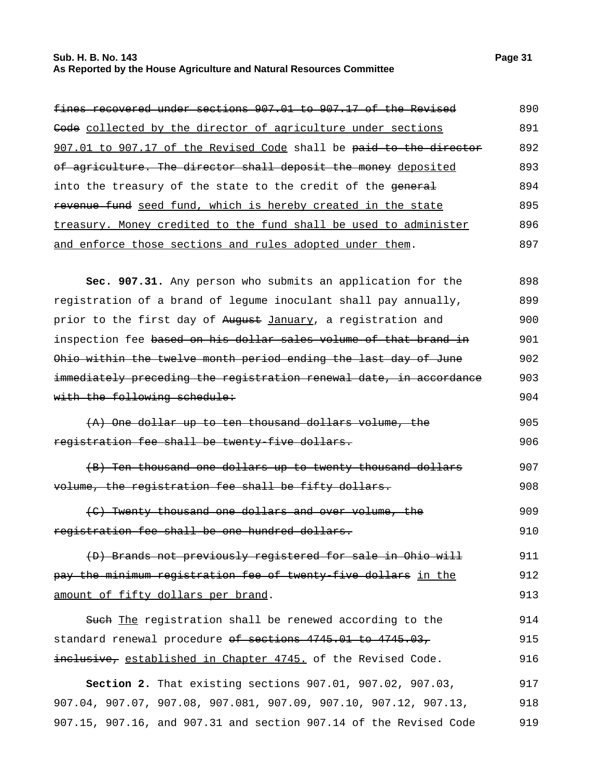#### **Sub. H. B. No. 143 Page 31 As Reported by the House Agriculture and Natural Resources Committee**

| fines recovered under sections 907.01 to 907.17 of the Revised     | 890 |
|--------------------------------------------------------------------|-----|
| Code collected by the director of agriculture under sections       | 891 |
| 907.01 to 907.17 of the Revised Code shall be paid to the director | 892 |
| of agriculture. The director shall deposit the money deposited     | 893 |
| into the treasury of the state to the credit of the general        | 894 |
| revenue fund seed fund, which is hereby created in the state       | 895 |
| treasury. Money credited to the fund shall be used to administer   | 896 |
| and enforce those sections and rules adopted under them.           | 897 |

**Sec. 907.31.** Any person who submits an application for the registration of a brand of legume inoculant shall pay annually, prior to the first day of August January, a registration and inspection fee based on his dollar sales volume of that brand in Ohio within the twelve month period ending the last day of June immediately preceding the registration renewal date, in accordance with the following schedule: 898 899 900 901 902 903 904

- (A) One dollar up to ten thousand dollars volume, the registration fee shall be twenty-five dollars. 905 906
- (B) Ten thousand one dollars up to twenty thousand dollars volume, the registration fee shall be fifty dollars. 907 908

(C) Twenty thousand one dollars and over volume, the registration fee shall be one hundred dollars. 909 910

(D) Brands not previously registered for sale in Ohio will pay the minimum registration fee of twenty-five dollars in the amount of fifty dollars per brand. 911 912 913

Such The registration shall be renewed according to the standard renewal procedure of sections 4745.01 to 4745.03, inclusive, established in Chapter 4745. of the Revised Code. 914 915 916

**Section 2.** That existing sections 907.01, 907.02, 907.03, 907.04, 907.07, 907.08, 907.081, 907.09, 907.10, 907.12, 907.13, 907.15, 907.16, and 907.31 and section 907.14 of the Revised Code 917 918 919